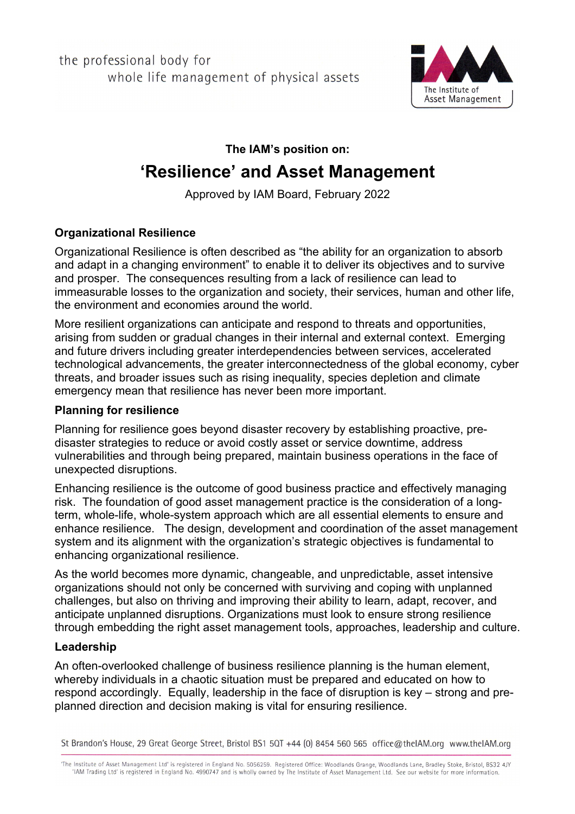the professional body for whole life management of physical assets



**The IAM's position on:**

# **'Resilience' and Asset Management**

Approved by IAM Board, February 2022

## **Organizational Resilience**

Organizational Resilience is often described as "the ability for an organization to absorb and adapt in a changing environment" to enable it to deliver its objectives and to survive and prosper. The consequences resulting from a lack of resilience can lead to immeasurable losses to the organization and society, their services, human and other life, the environment and economies around the world.

More resilient organizations can anticipate and respond to threats and opportunities, arising from sudden or gradual changes in their internal and external context. Emerging and future drivers including greater interdependencies between services, accelerated technological advancements, the greater interconnectedness of the global economy, cyber threats, and broader issues such as rising inequality, species depletion and climate emergency mean that resilience has never been more important.

## **Planning for resilience**

Planning for resilience goes beyond disaster recovery by establishing proactive, predisaster strategies to reduce or avoid costly asset or service downtime, address vulnerabilities and through being prepared, maintain business operations in the face of unexpected disruptions.

Enhancing resilience is the outcome of good business practice and effectively managing risk. The foundation of good asset management practice is the consideration of a longterm, whole-life, whole-system approach which are all essential elements to ensure and enhance resilience. The design, development and coordination of the asset management system and its alignment with the organization's strategic objectives is fundamental to enhancing organizational resilience.

As the world becomes more dynamic, changeable, and unpredictable, asset intensive organizations should not only be concerned with surviving and coping with unplanned challenges, but also on thriving and improving their ability to learn, adapt, recover, and anticipate unplanned disruptions. Organizations must look to ensure strong resilience through embedding the right asset management tools, approaches, leadership and culture.

#### **Leadership**

An often-overlooked challenge of business resilience planning is the human element, whereby individuals in a chaotic situation must be prepared and educated on how to respond accordingly. Equally, leadership in the face of disruption is key – strong and preplanned direction and decision making is vital for ensuring resilience.

St Brandon's House, 29 Great George Street, Bristol BS1 5QT +44 (0) 8454 560 565 office@thelAM.org www.thelAM.org

'The Institute of Asset Management Ltd' is registered in England No. 5056259. Registered Office: Woodlands Grange, Woodlands Lane, Bradley Stoke, Bristol, BS32 4JY 'IAM Trading Ltd' is registered in England No. 4990747 and is wholly owned by The Institute of Asset Management Ltd. See our website for more information.